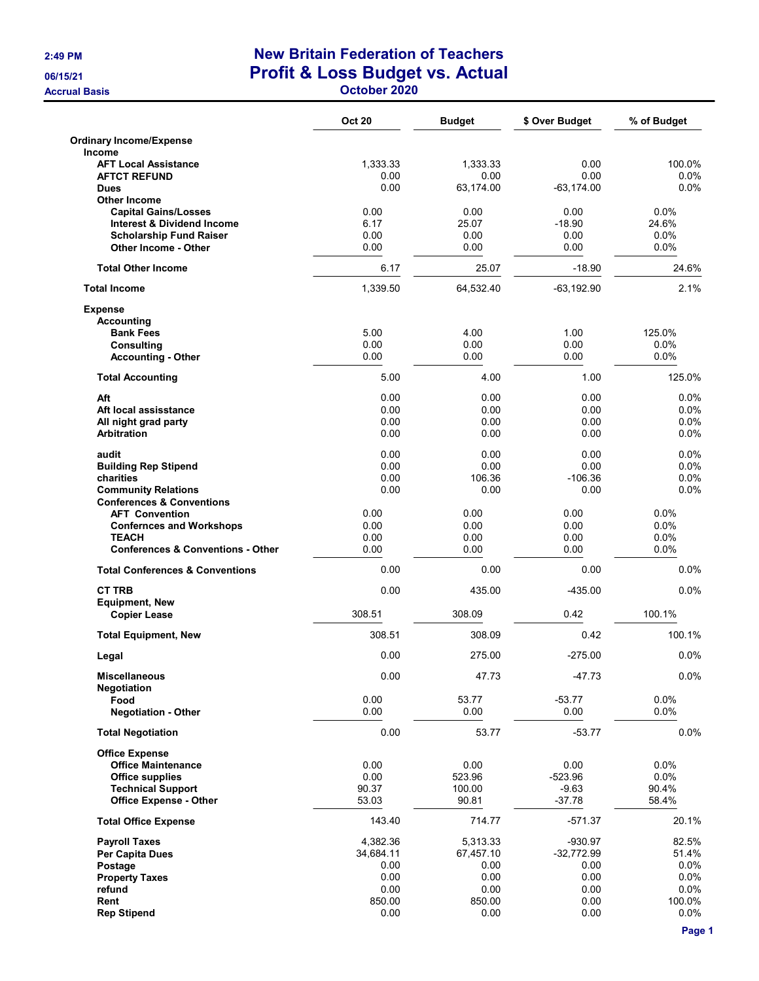## 2:49 PM New Britain Federation of Teachers 06/15/21 **Profit & Loss Budget vs. Actual**

Accrual Basis October 2020

|                                                              | <b>Oct 20</b> | <b>Budget</b>    | \$ Over Budget        | % of Budget    |
|--------------------------------------------------------------|---------------|------------------|-----------------------|----------------|
| <b>Ordinary Income/Expense</b><br><b>Income</b>              |               |                  |                       |                |
| <b>AFT Local Assistance</b>                                  | 1,333.33      | 1,333.33         | 0.00                  | 100.0%         |
| <b>AFTCT REFUND</b>                                          | 0.00<br>0.00  | 0.00             | 0.00<br>$-63, 174.00$ | 0.0%<br>0.0%   |
| <b>Dues</b><br><b>Other Income</b>                           |               | 63,174.00        |                       |                |
| <b>Capital Gains/Losses</b>                                  | 0.00          | 0.00             | 0.00                  | 0.0%           |
| <b>Interest &amp; Dividend Income</b>                        | 6.17          | 25.07            | $-18.90$              | 24.6%          |
| <b>Scholarship Fund Raiser</b>                               | 0.00          | 0.00             | 0.00                  | 0.0%           |
| Other Income - Other                                         | 0.00          | 0.00             | 0.00                  | 0.0%           |
| <b>Total Other Income</b>                                    | 6.17          | 25.07            | $-18.90$              | 24.6%          |
| <b>Total Income</b>                                          | 1,339.50      | 64,532.40        | $-63, 192.90$         | 2.1%           |
| <b>Expense</b>                                               |               |                  |                       |                |
| <b>Accounting</b>                                            |               |                  |                       |                |
| <b>Bank Fees</b><br><b>Consulting</b>                        | 5.00<br>0.00  | 4.00<br>0.00     | 1.00<br>0.00          | 125.0%<br>0.0% |
| <b>Accounting - Other</b>                                    | 0.00          | 0.00             | 0.00                  | 0.0%           |
|                                                              | 5.00          | 4.00             | 1.00                  | 125.0%         |
| <b>Total Accounting</b>                                      |               |                  |                       |                |
| Aft                                                          | 0.00          | 0.00             | 0.00                  | 0.0%           |
| Aft local assisstance<br>All night grad party                | 0.00<br>0.00  | 0.00<br>0.00     | 0.00<br>0.00          | 0.0%<br>0.0%   |
| <b>Arbitration</b>                                           | 0.00          | 0.00             | 0.00                  | 0.0%           |
|                                                              |               |                  |                       |                |
| audit                                                        | 0.00<br>0.00  | 0.00<br>0.00     | 0.00<br>0.00          | 0.0%<br>0.0%   |
| <b>Building Rep Stipend</b><br>charities                     | 0.00          | 106.36           | $-106.36$             | 0.0%           |
| <b>Community Relations</b>                                   | 0.00          | 0.00             | 0.00                  | 0.0%           |
| <b>Conferences &amp; Conventions</b>                         |               |                  |                       |                |
| <b>AFT Convention</b>                                        | 0.00          | 0.00             | 0.00                  | 0.0%           |
| <b>Confernces and Workshops</b>                              | 0.00          | 0.00             | 0.00                  | 0.0%           |
| <b>TEACH</b><br><b>Conferences &amp; Conventions - Other</b> | 0.00<br>0.00  | 0.00<br>0.00     | 0.00<br>0.00          | 0.0%<br>0.0%   |
| <b>Total Conferences &amp; Conventions</b>                   | 0.00          | 0.00             | 0.00                  | 0.0%           |
| <b>CT TRB</b>                                                | 0.00          | 435.00           | $-435.00$             | 0.0%           |
| <b>Equipment, New</b>                                        |               |                  |                       |                |
| <b>Copier Lease</b>                                          | 308.51        | 308.09           | 0.42                  | 100.1%         |
| <b>Total Equipment, New</b>                                  | 308.51        | 308.09           | 0.42                  | 100.1%         |
| Legal                                                        | 0.00          | 275.00           | $-275.00$             | 0.0%           |
| <b>Miscellaneous</b><br>Negotiation                          | 0.00          | 47.73            | $-47.73$              | $0.0\%$        |
| Food                                                         | 0.00          | 53.77            | $-53.77$              | 0.0%           |
| <b>Negotiation - Other</b>                                   | 0.00          | 0.00             | 0.00                  | 0.0%           |
| <b>Total Negotiation</b>                                     | 0.00          | 53.77            | $-53.77$              | $0.0\%$        |
| <b>Office Expense</b>                                        |               |                  |                       |                |
| <b>Office Maintenance</b>                                    | 0.00          | 0.00             | 0.00                  | 0.0%           |
| <b>Office supplies</b><br><b>Technical Support</b>           | 0.00<br>90.37 | 523.96<br>100.00 | $-523.96$<br>$-9.63$  | 0.0%<br>90.4%  |
| <b>Office Expense - Other</b>                                | 53.03         | 90.81            | $-37.78$              | 58.4%          |
| <b>Total Office Expense</b>                                  | 143.40        | 714.77           | -571.37               | 20.1%          |
| <b>Payroll Taxes</b>                                         | 4,382.36      | 5,313.33         | $-930.97$             | 82.5%          |
| <b>Per Capita Dues</b>                                       | 34,684.11     | 67,457.10        | $-32,772.99$          | 51.4%          |
| Postage                                                      | 0.00          | 0.00             | 0.00                  | $0.0\%$        |
| <b>Property Taxes</b>                                        | 0.00          | 0.00             | 0.00                  | 0.0%           |
| refund                                                       | 0.00          | 0.00             | 0.00                  | 0.0%           |
| Rent                                                         | 850.00        | 850.00           | 0.00                  | 100.0%         |
| <b>Rep Stipend</b>                                           | 0.00          | 0.00             | 0.00                  | $0.0\%$        |